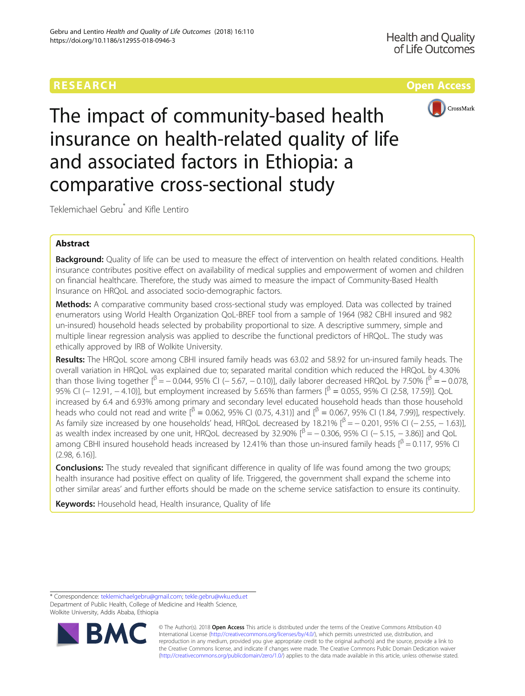# RESEARCH **RESEARCH CONSUMING THE CONSUMING TEACHER CONSUMING THE CONSUMING TEACHER CONSUMING THE CONSUMING TEACHER CONSUMING THE CONSUMING TEACHER CONSUMING THE CONSUMING TEACHER CONSUMING THE CONSUMING TEACHER CONSUMING**



The impact of community-based health insurance on health-related quality of life and associated factors in Ethiopia: a comparative cross-sectional study

Teklemichael Gebru\* and Kifle Lentiro

# Abstract

Background: Quality of life can be used to measure the effect of intervention on health related conditions. Health insurance contributes positive effect on availability of medical supplies and empowerment of women and children on financial healthcare. Therefore, the study was aimed to measure the impact of Community-Based Health Insurance on HRQoL and associated socio-demographic factors.

Methods: A comparative community based cross-sectional study was employed. Data was collected by trained enumerators using World Health Organization QoL-BREF tool from a sample of 1964 (982 CBHI insured and 982 un-insured) household heads selected by probability proportional to size. A descriptive summery, simple and multiple linear regression analysis was applied to describe the functional predictors of HRQoL. The study was ethically approved by IRB of Wolkite University.

Results: The HRQoL score among CBHI insured family heads was 63.02 and 58.92 for un-insured family heads. The overall variation in HRQoL was explained due to; separated marital condition which reduced the HRQoL by 4.30% than those living together  $\int_{\beta}^{\beta} = -0.044$ , 95% CI (− 5.67, − 0.10)], daily laborer decreased HRQoL by 7.50%  $\int_{\beta}^{\beta} = -0.078$ , 95% CI (− 12.91, − 4.10)], but employment increased by 5.65% than farmers  $\beta$  = 0.055, 95% CI (2.58, 17.59)]. QoL increased by 6.4 and 6.93% among primary and secondary level educated household heads than those household heads who could not read and write  $[β = 0.062, 95%$  CI (0.75, 4.31)] and  $[β = 0.067, 95%$  CI (1.84, 7.99)], respectively. As family size increased by one households' head, HRQoL decreased by 18.21%  $\int_{0}^{3} = -0.201$ , 95% CI (−2.55, −1.63)], as wealth index increased by one unit, HRQoL decreased by 32.90%  $\beta^2 = -0.306$ , 95% CI (−5.15, −3.86)] and QoL among CBHI insured household heads increased by 12.41% than those un-insured family heads  $[<sup>β</sup> = 0.117, 95%$  CI (2.98, 6.16)].

**Conclusions:** The study revealed that significant difference in quality of life was found among the two groups; health insurance had positive effect on quality of life. Triggered, the government shall expand the scheme into other similar areas' and further efforts should be made on the scheme service satisfaction to ensure its continuity.

Keywords: Household head, Health insurance, Quality of life

<sup>\*</sup> Correspondence: [teklemichaelgebru@gmail.com;](mailto:teklemichaelgebru@gmail.com) [tekle.gebru@wku.edu.et](mailto:tekle.gebru@wku.edu.et) Department of Public Health, College of Medicine and Health Science, Wolkite University, Addis Ababa, Ethiopia



© The Author(s). 2018 Open Access This article is distributed under the terms of the Creative Commons Attribution 4.0 International License [\(http://creativecommons.org/licenses/by/4.0/](http://creativecommons.org/licenses/by/4.0/)), which permits unrestricted use, distribution, and reproduction in any medium, provided you give appropriate credit to the original author(s) and the source, provide a link to the Creative Commons license, and indicate if changes were made. The Creative Commons Public Domain Dedication waiver [\(http://creativecommons.org/publicdomain/zero/1.0/](http://creativecommons.org/publicdomain/zero/1.0/)) applies to the data made available in this article, unless otherwise stated.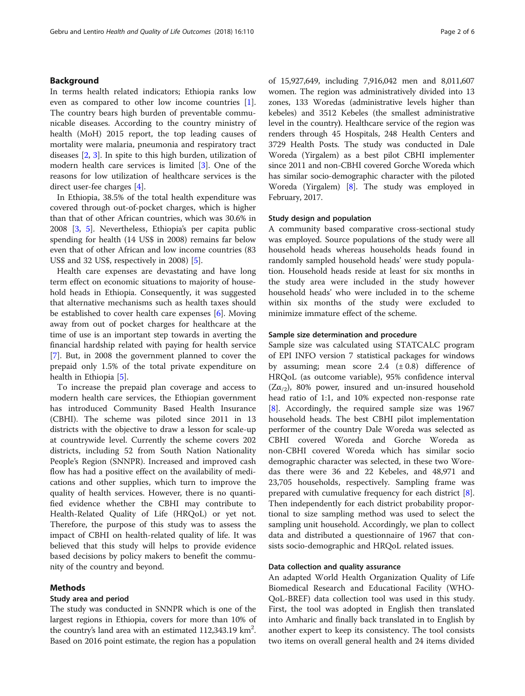# Background

In terms health related indicators; Ethiopia ranks low even as compared to other low income countries [\[1](#page-5-0)]. The country bears high burden of preventable communicable diseases. According to the country ministry of health (MoH) 2015 report, the top leading causes of mortality were malaria, pneumonia and respiratory tract diseases [\[2](#page-5-0), [3\]](#page-5-0). In spite to this high burden, utilization of modern health care services is limited [\[3](#page-5-0)]. One of the reasons for low utilization of healthcare services is the direct user-fee charges [\[4](#page-5-0)].

In Ethiopia, 38.5% of the total health expenditure was covered through out-of-pocket charges, which is higher than that of other African countries, which was 30.6% in 2008 [[3,](#page-5-0) [5](#page-5-0)]. Nevertheless, Ethiopia's per capita public spending for health (14 US\$ in 2008) remains far below even that of other African and low income countries (83 US\$ and 32 US\$, respectively in 2008) [[5\]](#page-5-0).

Health care expenses are devastating and have long term effect on economic situations to majority of household heads in Ethiopia. Consequently, it was suggested that alternative mechanisms such as health taxes should be established to cover health care expenses [[6\]](#page-5-0). Moving away from out of pocket charges for healthcare at the time of use is an important step towards in averting the financial hardship related with paying for health service [[7\]](#page-5-0). But, in 2008 the government planned to cover the prepaid only 1.5% of the total private expenditure on health in Ethiopia [[5\]](#page-5-0).

To increase the prepaid plan coverage and access to modern health care services, the Ethiopian government has introduced Community Based Health Insurance (CBHI). The scheme was piloted since 2011 in 13 districts with the objective to draw a lesson for scale-up at countrywide level. Currently the scheme covers 202 districts, including 52 from South Nation Nationality People's Region (SNNPR). Increased and improved cash flow has had a positive effect on the availability of medications and other supplies, which turn to improve the quality of health services. However, there is no quantified evidence whether the CBHI may contribute to Health-Related Quality of Life (HRQoL) or yet not. Therefore, the purpose of this study was to assess the impact of CBHI on health-related quality of life. It was believed that this study will helps to provide evidence based decisions by policy makers to benefit the community of the country and beyond.

#### Methods

## Study area and period

The study was conducted in SNNPR which is one of the largest regions in Ethiopia, covers for more than 10% of the country's land area with an estimated  $112,343.19$  km<sup>2</sup>. Based on 2016 point estimate, the region has a population of 15,927,649, including 7,916,042 men and 8,011,607 women. The region was administratively divided into 13 zones, 133 Woredas (administrative levels higher than kebeles) and 3512 Kebeles (the smallest administrative level in the country). Healthcare service of the region was renders through 45 Hospitals, 248 Health Centers and 3729 Health Posts. The study was conducted in Dale Woreda (Yirgalem) as a best pilot CBHI implementer since 2011 and non-CBHI covered Gorche Woreda which has similar socio-demographic character with the piloted Woreda (Yirgalem) [[8\]](#page-5-0). The study was employed in February, 2017.

### Study design and population

A community based comparative cross-sectional study was employed. Source populations of the study were all household heads whereas households heads found in randomly sampled household heads' were study population. Household heads reside at least for six months in the study area were included in the study however household heads' who were included in to the scheme within six months of the study were excluded to minimize immature effect of the scheme.

### Sample size determination and procedure

Sample size was calculated using STATCALC program of EPI INFO version 7 statistical packages for windows by assuming; mean score 2.4  $(\pm 0.8)$  difference of HRQoL (as outcome variable), 95% confidence interval  $(Z\alpha_{12})$ , 80% power, insured and un-insured household head ratio of 1:1, and 10% expected non-response rate [[8\]](#page-5-0). Accordingly, the required sample size was 1967 household heads. The best CBHI pilot implementation performer of the country Dale Woreda was selected as CBHI covered Woreda and Gorche Woreda as non-CBHI covered Woreda which has similar socio demographic character was selected, in these two Woredas there were 36 and 22 Kebeles, and 48,971 and 23,705 households, respectively. Sampling frame was prepared with cumulative frequency for each district [\[8](#page-5-0)]. Then independently for each district probability proportional to size sampling method was used to select the sampling unit household. Accordingly, we plan to collect data and distributed a questionnaire of 1967 that consists socio-demographic and HRQoL related issues.

### Data collection and quality assurance

An adapted World Health Organization Quality of Life Biomedical Research and Educational Facility (WHO-QoL-BREF) data collection tool was used in this study. First, the tool was adopted in English then translated into Amharic and finally back translated in to English by another expert to keep its consistency. The tool consists two items on overall general health and 24 items divided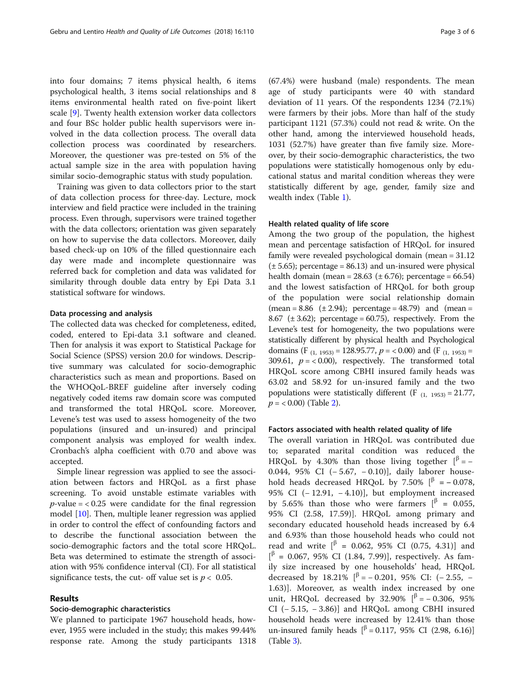into four domains; 7 items physical health, 6 items psychological health, 3 items social relationships and 8 items environmental health rated on five-point likert scale [\[9](#page-5-0)]. Twenty health extension worker data collectors and four BSc holder public health supervisors were involved in the data collection process. The overall data collection process was coordinated by researchers. Moreover, the questioner was pre-tested on 5% of the actual sample size in the area with population having similar socio-demographic status with study population.

Training was given to data collectors prior to the start of data collection process for three-day. Lecture, mock interview and field practice were included in the training process. Even through, supervisors were trained together with the data collectors; orientation was given separately on how to supervise the data collectors. Moreover, daily based check-up on 10% of the filled questionnaire each day were made and incomplete questionnaire was referred back for completion and data was validated for similarity through double data entry by Epi Data 3.1 statistical software for windows.

## Data processing and analysis

The collected data was checked for completeness, edited, coded, entered to Epi-data 3.1 software and cleaned. Then for analysis it was export to Statistical Package for Social Science (SPSS) version 20.0 for windows. Descriptive summary was calculated for socio-demographic characteristics such as mean and proportions. Based on the WHOQoL-BREF guideline after inversely coding negatively coded items raw domain score was computed and transformed the total HRQoL score. Moreover, Levene's test was used to assess homogeneity of the two populations (insured and un-insured) and principal component analysis was employed for wealth index. Cronbach's alpha coefficient with 0.70 and above was accepted.

Simple linear regression was applied to see the association between factors and HRQoL as a first phase screening. To avoid unstable estimate variables with  $p$ -value = < 0.25 were candidate for the final regression model [\[10](#page-5-0)]. Then, multiple leaner regression was applied in order to control the effect of confounding factors and to describe the functional association between the socio-demographic factors and the total score HRQoL. Beta was determined to estimate the strength of association with 95% confidence interval (CI). For all statistical significance tests, the cut- off value set is  $p < 0.05$ .

# Results

#### Socio-demographic characteristics

We planned to participate 1967 household heads, however, 1955 were included in the study; this makes 99.44% response rate. Among the study participants 1318

(67.4%) were husband (male) respondents. The mean age of study participants were 40 with standard deviation of 11 years. Of the respondents 1234 (72.1%) were farmers by their jobs. More than half of the study participant 1121 (57.3%) could not read & write. On the other hand, among the interviewed household heads, 1031 (52.7%) have greater than five family size. Moreover, by their socio-demographic characteristics, the two populations were statistically homogenous only by educational status and marital condition whereas they were statistically different by age, gender, family size and wealth index (Table [1\)](#page-3-0).

#### Health related quality of life score

Among the two group of the population, the highest mean and percentage satisfaction of HRQoL for insured family were revealed psychological domain (mean = 31.12  $(\pm 5.65)$ ; percentage = 86.13) and un-insured were physical health domain (mean =  $28.63$  ( $\pm$  6.76); percentage = 66.54) and the lowest satisfaction of HRQoL for both group of the population were social relationship domain  $(mean = 8.86 \text{ } (\pm 2.94);$  percentage = 48.79) and  $(mean = 1.94)$ 8.67 ( $\pm$  3.62); percentage = 60.75), respectively. From the Levene's test for homogeneity, the two populations were statistically different by physical health and Psychological domains (F<sub>(1, 1953)</sub> = 128.95.77,  $p = < 0.00$ ) and (F<sub>(1, 1953)</sub> = 309.61,  $p = < 0.00$ ), respectively. The transformed total HRQoL score among CBHI insured family heads was 63.02 and 58.92 for un-insured family and the two populations were statistically different (F  $_{(1, 1953)} = 21.77$ ,  $p = < 0.00$ ) (Table [2\)](#page-3-0).

#### Factors associated with health related quality of life

The overall variation in HRQoL was contributed due to; separated marital condition was reduced the HRQoL by 4.30% than those living together  $\vert^{\beta} = - \vert^{\beta}$ 0.044, 95% CI (− 5.67, − 0.10)], daily laborer household heads decreased HROoL by 7.50%  $\int_{\beta}^{\beta} = -0.078$ , 95% CI (− 12.91, − 4.10)], but employment increased by 5.65% than those who were farmers  $\vert \vert^{\beta} = 0.055$ , 95% CI (2.58, 17.59)]. HRQoL among primary and secondary educated household heads increased by 6.4 and 6.93% than those household heads who could not read and write  $\begin{bmatrix} \beta & = & 0.062, 95\% & \text{CI} & (0.75, 4.31) \end{bmatrix}$  and  $[$ <sup> $\beta$ </sup> = 0.067, 95% CI (1.84, 7.99)], respectively. As family size increased by one households' head, HRQoL decreased by 18.21%  $\left[\right]$ <sup> $\beta$ </sup> = −0.201, 95% CI: (−2.55, − 1.63)]. Moreover, as wealth index increased by one unit, HRQoL decreased by 32.90%  $\lbrack \beta =-0.306, 95\% \rbrack$ CI (− 5.15, − 3.86)] and HRQoL among CBHI insured household heads were increased by 12.41% than those un-insured family heads  $\left[ \right]$ <sup>β</sup> = 0.117, 95% CI (2.98, 6.16)] (Table [3\)](#page-4-0).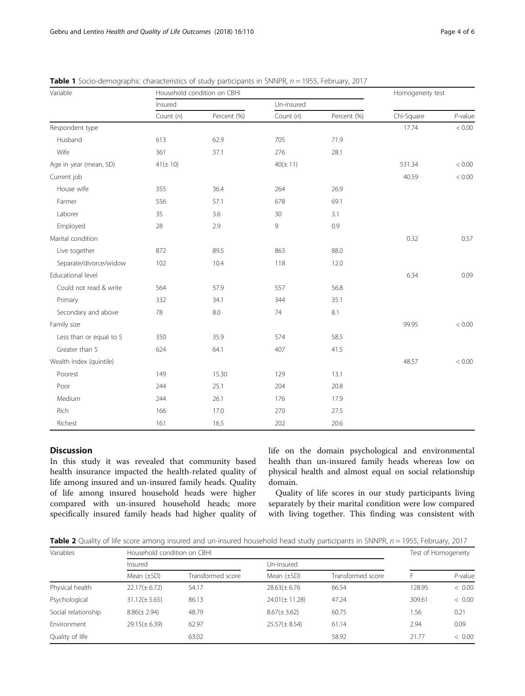| Variable                | Household condition on CBHI |             |              |             | Homogeneity test |            |
|-------------------------|-----------------------------|-------------|--------------|-------------|------------------|------------|
|                         | Insured                     |             | Un-insured   |             |                  |            |
|                         | Count $(n)$                 | Percent (%) | Count $(n)$  | Percent (%) | Chi-Square       | $P$ -value |
| Respondent type         |                             |             |              |             | 17.74            | 0.00 <     |
| Husband                 | 613                         | 62.9        | 705          | 71.9        |                  |            |
| Wife                    | 361                         | 37.1        | 276          | 28.1        |                  |            |
| Age in year (mean, SD)  | $41(\pm 10)$                |             | $40(\pm 11)$ |             | 531.34           | < 0.00     |
| Current job             |                             |             |              |             | 40.59            | $< 0.00$   |
| House wife              | 355                         | 36.4        | 264          | 26.9        |                  |            |
| Farmer                  | 556                         | 57.1        | 678          | 69.1        |                  |            |
| Laborer                 | 35                          | 3.6         | 30           | 3.1         |                  |            |
| Employed                | 28                          | 2.9         | 9            | 0.9         |                  |            |
| Marital condition       |                             |             |              |             | 0.32             | 0.57       |
| Live together           | 872                         | 89.5        | 863          | 88.0        |                  |            |
| Separate/divorce/widow  | 102                         | 10.4        | 118          | 12.0        |                  |            |
| Educational level       |                             |             |              |             | 6.34             | 0.09       |
| Could not read & write  | 564                         | 57.9        | 557          | 56.8        |                  |            |
| Primary                 | 332                         | 34.1        | 344          | 35.1        |                  |            |
| Secondary and above     | 78                          | 8.0         | 74           | 8.1         |                  |            |
| Family size             |                             |             |              |             | 99.95            | < 0.00     |
| Less than or equal to 5 | 350                         | 35.9        | 574          | 58.5        |                  |            |
| Greater than 5          | 624                         | 64.1        | 407          | 41.5        |                  |            |
| Wealth index (quintile) |                             |             |              |             | 48.57            | < 0.00     |
| Poorest                 | 149                         | 15.30       | 129          | 13.1        |                  |            |
| Poor                    | 244                         | 25.1        | 204          | 20.8        |                  |            |
| Medium                  | 244                         | 26.1        | 176          | 17.9        |                  |            |
| Rich                    | 166                         | 17.0        | 270          | 27.5        |                  |            |
| Richest                 | 161                         | 16.5        | 202          | 20.6        |                  |            |

<span id="page-3-0"></span>**Table 1** Socio-demographic characteristics of study participants in SNNPR,  $n = 1955$ , February, 2017

# Discussion

In this study it was revealed that community based health insurance impacted the health-related quality of life among insured and un-insured family heads. Quality of life among insured household heads were higher compared with un-insured household heads; more specifically insured family heads had higher quality of life on the domain psychological and environmental health than un-insured family heads whereas low on physical health and almost equal on social relationship domain.

Quality of life scores in our study participants living separately by their marital condition were low compared with living together. This finding was consistent with

Table 2 Quality of life score among insured and un-insured household head study participants in SNNPR,  $n = 1955$ , February, 2017

| Variables           | Household condition on CBHI |                   |                    |                   | Test of Homogeneity |            |
|---------------------|-----------------------------|-------------------|--------------------|-------------------|---------------------|------------|
|                     | Insured                     |                   | Un-insured         |                   |                     |            |
|                     | Mean $(\pm SD)$             | Transformed score | Mean $(\pm SD)$    | Transformed score |                     | $P$ -value |
| Physical health     | $22.17(\pm 6.72)$           | 54.17             | $28.63(\pm 6.76)$  | 66.54             | 128.95              | < 0.00     |
| Psychological       | $31.12(\pm 5.65)$           | 86.13             | $24.01(\pm 11.28)$ | 47.24             | 309.61              | < 0.00     |
| Social relationship | $8.86(\pm 2.94)$            | 48.79             | $8.67(\pm 3.62)$   | 60.75             | 1.56                | 0.21       |
| Environment         | $29.15(\pm 6.39)$           | 62.97             | $25.57(\pm 8.54)$  | 61.14             | 2.94                | 0.09       |
| Quality of life     |                             | 63.02             |                    | 58.92             | 21.77               | < 0.00     |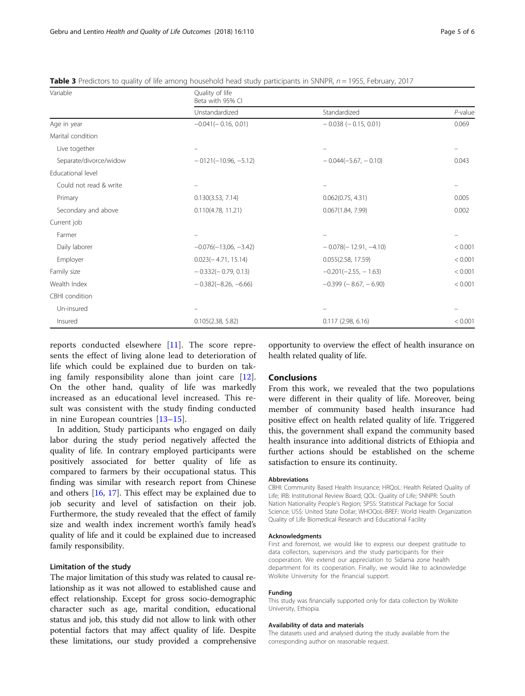<span id="page-4-0"></span>

| Table 3 Predictors to quality of life among household head study participants in SNNPR, n = 1955, February, 2017 |  |  |  |
|------------------------------------------------------------------------------------------------------------------|--|--|--|
|------------------------------------------------------------------------------------------------------------------|--|--|--|

| Variable                 | Quality of life<br>Beta with 95% CI |                                |            |  |  |
|--------------------------|-------------------------------------|--------------------------------|------------|--|--|
|                          | Unstandardized                      | Standardized                   | $P$ -value |  |  |
| Age in year              | $-0.041(-0.16, 0.01)$               | $-0.038$ ( $-0.15, 0.01$ )     | 0.069      |  |  |
| Marital condition        |                                     |                                |            |  |  |
| Live together            |                                     |                                |            |  |  |
| Separate/divorce/widow   | $-0121(-10.96, -5.12)$              | $-0.044(-5.67, -0.10)$         | 0.043      |  |  |
| <b>Educational level</b> |                                     |                                |            |  |  |
| Could not read & write   |                                     |                                |            |  |  |
| Primary                  | 0.130(3.53, 7.14)                   | 0.062(0.75, 4.31)              | 0.005      |  |  |
| Secondary and above      | 0.110(4.78, 11.21)                  | 0.067(1.84, 7.99)              | 0.002      |  |  |
| Current job              |                                     |                                |            |  |  |
| Farmer                   |                                     |                                |            |  |  |
| Daily laborer            | $-0.076(-13,06,-3.42)$              | $-0.078(-12.91, -4.10)$        | < 0.001    |  |  |
| Employer                 | $0.023(-4.71, 15.14)$               | 0.055(2.58, 17.59)             | < 0.001    |  |  |
| Family size              | $-0.332(-0.79, 0.13)$               | $-0.201(-2.55, -1.63)$         | < 0.001    |  |  |
| Wealth Index             | $-0.382(-8.26, -6.66)$              | $-0.399$ ( $-8.67$ , $-6.90$ ) | < 0.001    |  |  |
| CBHI condition           |                                     |                                |            |  |  |
| Un-insured               |                                     |                                |            |  |  |
| Insured                  | 0.105(2.38, 5.82)                   | 0.117(2.98, 6.16)              | < 0.001    |  |  |

reports conducted elsewhere [[11\]](#page-5-0). The score represents the effect of living alone lead to deterioration of life which could be explained due to burden on taking family responsibility alone than joint care [\[12](#page-5-0)]. On the other hand, quality of life was markedly increased as an educational level increased. This result was consistent with the study finding conducted in nine European countries [\[13](#page-5-0)–[15](#page-5-0)].

In addition, Study participants who engaged on daily labor during the study period negatively affected the quality of life. In contrary employed participants were positively associated for better quality of life as compared to farmers by their occupational status. This finding was similar with research report from Chinese and others [\[16](#page-5-0), [17](#page-5-0)]. This effect may be explained due to job security and level of satisfaction on their job. Furthermore, the study revealed that the effect of family size and wealth index increment worth's family head's quality of life and it could be explained due to increased family responsibility.

### Limitation of the study

The major limitation of this study was related to causal relationship as it was not allowed to established cause and effect relationship. Except for gross socio-demographic character such as age, marital condition, educational status and job, this study did not allow to link with other potential factors that may affect quality of life. Despite these limitations, our study provided a comprehensive

opportunity to overview the effect of health insurance on health related quality of life.

# **Conclusions**

From this work, we revealed that the two populations were different in their quality of life. Moreover, being member of community based health insurance had positive effect on health related quality of life. Triggered this, the government shall expand the community based health insurance into additional districts of Ethiopia and further actions should be established on the scheme satisfaction to ensure its continuity.

#### Abbreviations

CBHI: Community Based Health Insurance; HRQoL: Health Related Quality of Life; IRB: Institutional Review Board; QOL: Quality of Life; SNNPR: South Nation Nationality People's Region; SPSS: Statistical Package for Social Science; US\$: United State Dollar; WHOQoL-BREF: World Health Organization Quality of Life Biomedical Research and Educational Facility

#### Acknowledgments

First and foremost, we would like to express our deepest gratitude to data collectors, supervisors and the study participants for their cooperation. We extend our appreciation to Sidama zone health department for its cooperation. Finally, we would like to acknowledge Wolkite University for the financial support.

#### Funding

This study was financially supported only for data collection by Wolkite University, Ethiopia.

#### Availability of data and materials

The datasets used and analysed during the study available from the corresponding author on reasonable request.